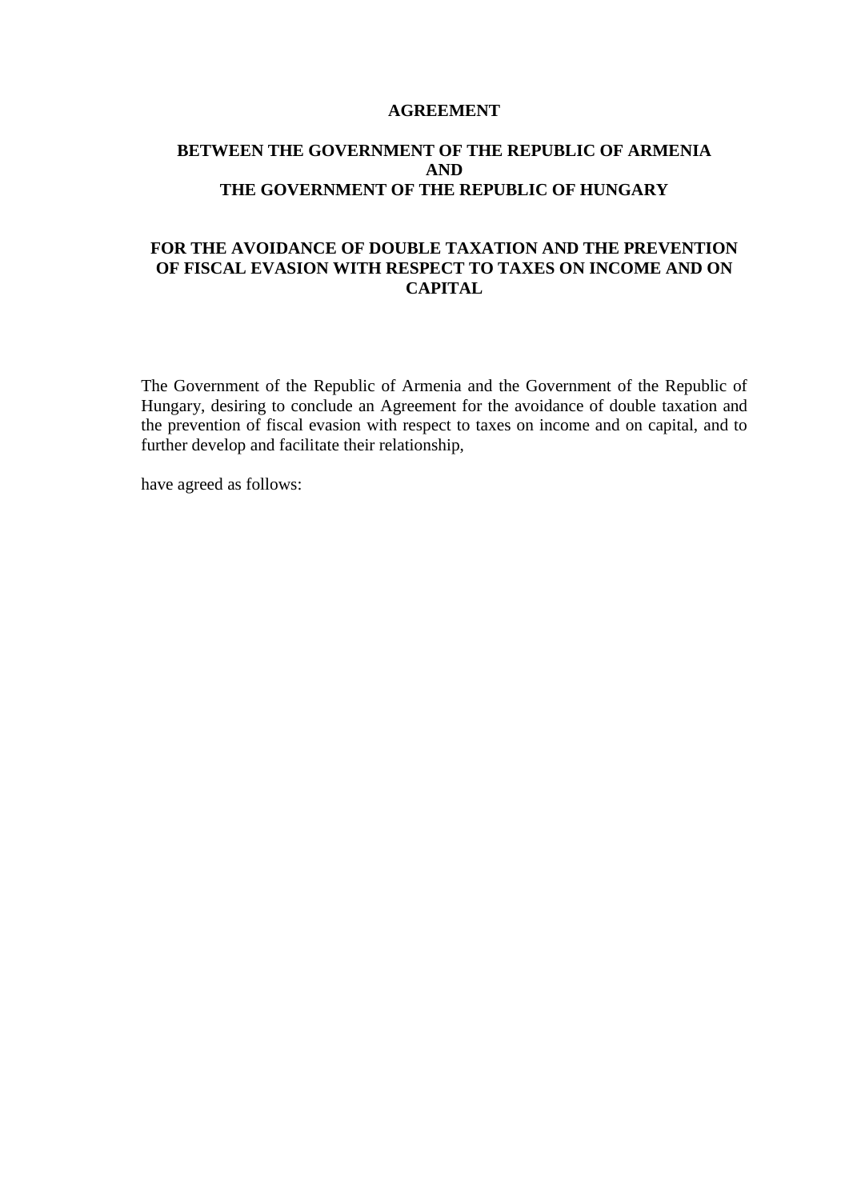#### **AGREEMENT**

## **BETWEEN THE GOVERNMENT OF THE REPUBLIC OF ARMENIA AND THE GOVERNMENT OF THE REPUBLIC OF HUNGARY**

# **FOR THE AVOIDANCE OF DOUBLE TAXATION AND THE PREVENTION OF FISCAL EVASION WITH RESPECT TO TAXES ON INCOME AND ON CAPITAL**

The Government of the Republic of Armenia and the Government of the Republic of Hungary, desiring to conclude an Agreement for the avoidance of double taxation and the prevention of fiscal evasion with respect to taxes on income and on capital, and to further develop and facilitate their relationship,

have agreed as follows: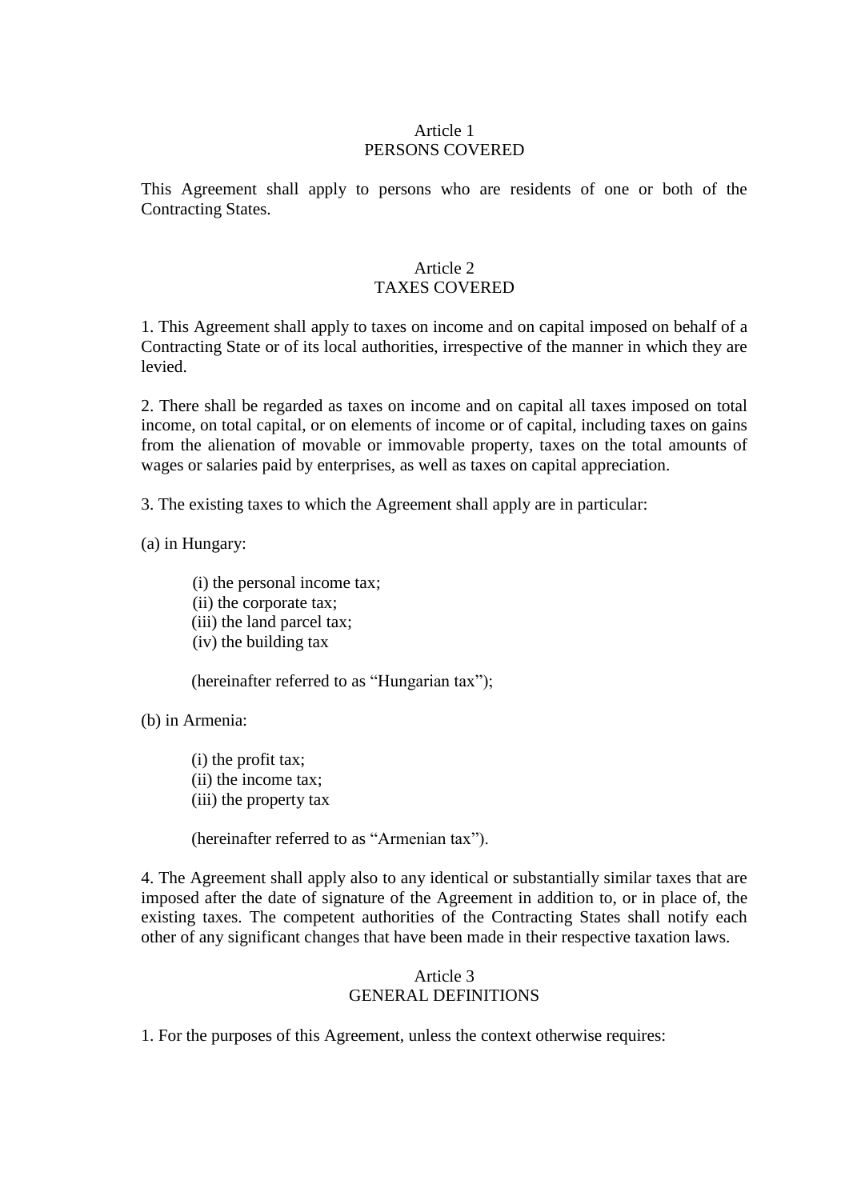## Article 1 PERSONS COVERED

This Agreement shall apply to persons who are residents of one or both of the Contracting States.

#### Article 2 TAXES COVERED

1. This Agreement shall apply to taxes on income and on capital imposed on behalf of a Contracting State or of its local authorities, irrespective of the manner in which they are levied.

2. There shall be regarded as taxes on income and on capital all taxes imposed on total income, on total capital, or on elements of income or of capital, including taxes on gains from the alienation of movable or immovable property, taxes on the total amounts of wages or salaries paid by enterprises, as well as taxes on capital appreciation.

3. The existing taxes to which the Agreement shall apply are in particular:

(a) in Hungary:

(i) the personal income tax; (ii) the corporate tax; (iii) the land parcel tax; (iv) the building tax

(hereinafter referred to as "Hungarian tax");

(b) in Armenia:

(i) the profit tax; (ii) the income tax; (iii) the property tax

(hereinafter referred to as "Armenian tax").

4. The Agreement shall apply also to any identical or substantially similar taxes that are imposed after the date of signature of the Agreement in addition to, or in place of, the existing taxes. The competent authorities of the Contracting States shall notify each other of any significant changes that have been made in their respective taxation laws.

## Article 3 GENERAL DEFINITIONS

1. For the purposes of this Agreement, unless the context otherwise requires: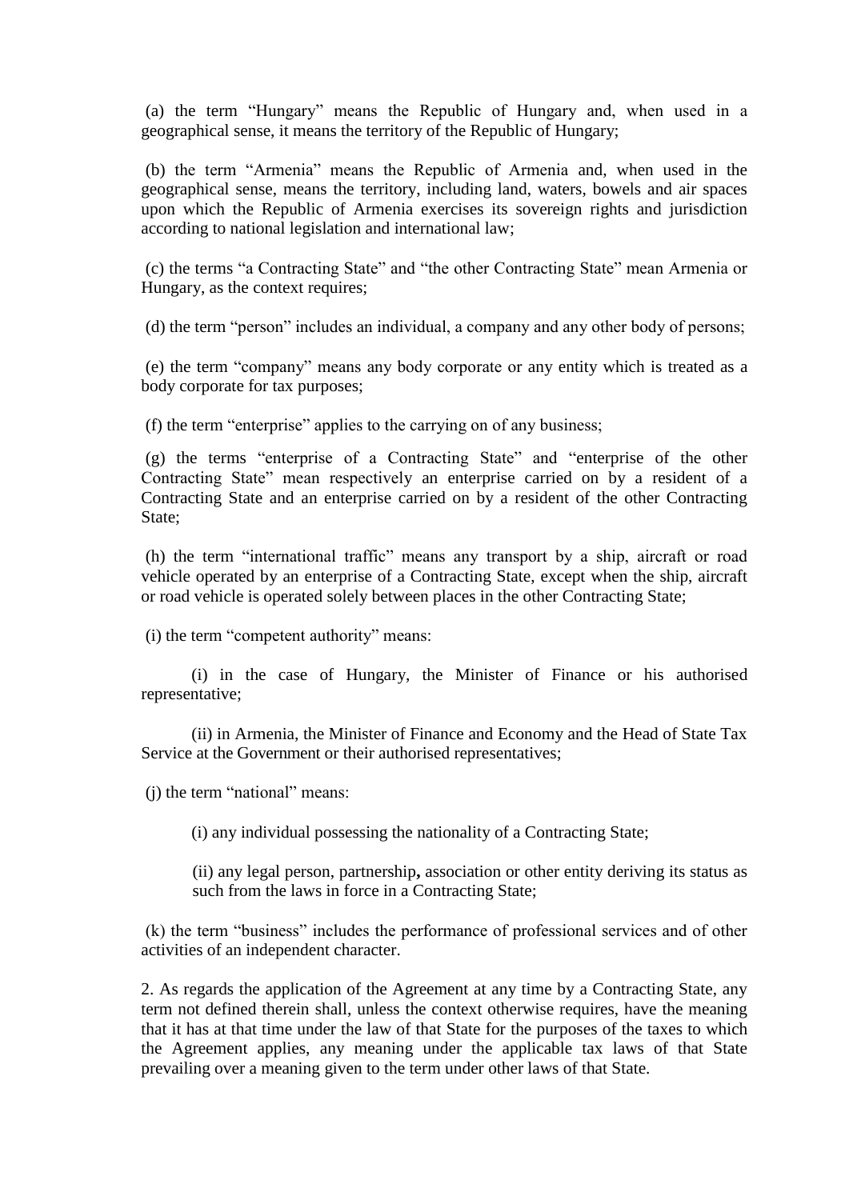(a) the term "Hungary" means the Republic of Hungary and, when used in a geographical sense, it means the territory of the Republic of Hungary;

(b) the term "Armenia" means the Republic of Armenia and, when used in the geographical sense, means the territory, including land, waters, bowels and air spaces upon which the Republic of Armenia exercises its sovereign rights and jurisdiction according to national legislation and international law;

(c) the terms "a Contracting State" and "the other Contracting State" mean Armenia or Hungary, as the context requires;

(d) the term "person" includes an individual, a company and any other body of persons;

(e) the term "company" means any body corporate or any entity which is treated as a body corporate for tax purposes;

(f) the term "enterprise" applies to the carrying on of any business;

(g) the terms "enterprise of a Contracting State" and "enterprise of the other Contracting State" mean respectively an enterprise carried on by a resident of a Contracting State and an enterprise carried on by a resident of the other Contracting State:

(h) the term "international traffic" means any transport by a ship, aircraft or road vehicle operated by an enterprise of a Contracting State, except when the ship, aircraft or road vehicle is operated solely between places in the other Contracting State;

(i) the term "competent authority" means:

(i) in the case of Hungary, the Minister of Finance or his authorised representative;

(ii) in Armenia, the Minister of Finance and Economy and the Head of State Tax Service at the Government or their authorised representatives;

(j) the term "national" means:

(i) any individual possessing the nationality of a Contracting State;

(ii) any legal person, partnership**,** association or other entity deriving its status as such from the laws in force in a Contracting State;

(k) the term "business" includes the performance of professional services and of other activities of an independent character.

2. As regards the application of the Agreement at any time by a Contracting State, any term not defined therein shall, unless the context otherwise requires, have the meaning that it has at that time under the law of that State for the purposes of the taxes to which the Agreement applies, any meaning under the applicable tax laws of that State prevailing over a meaning given to the term under other laws of that State.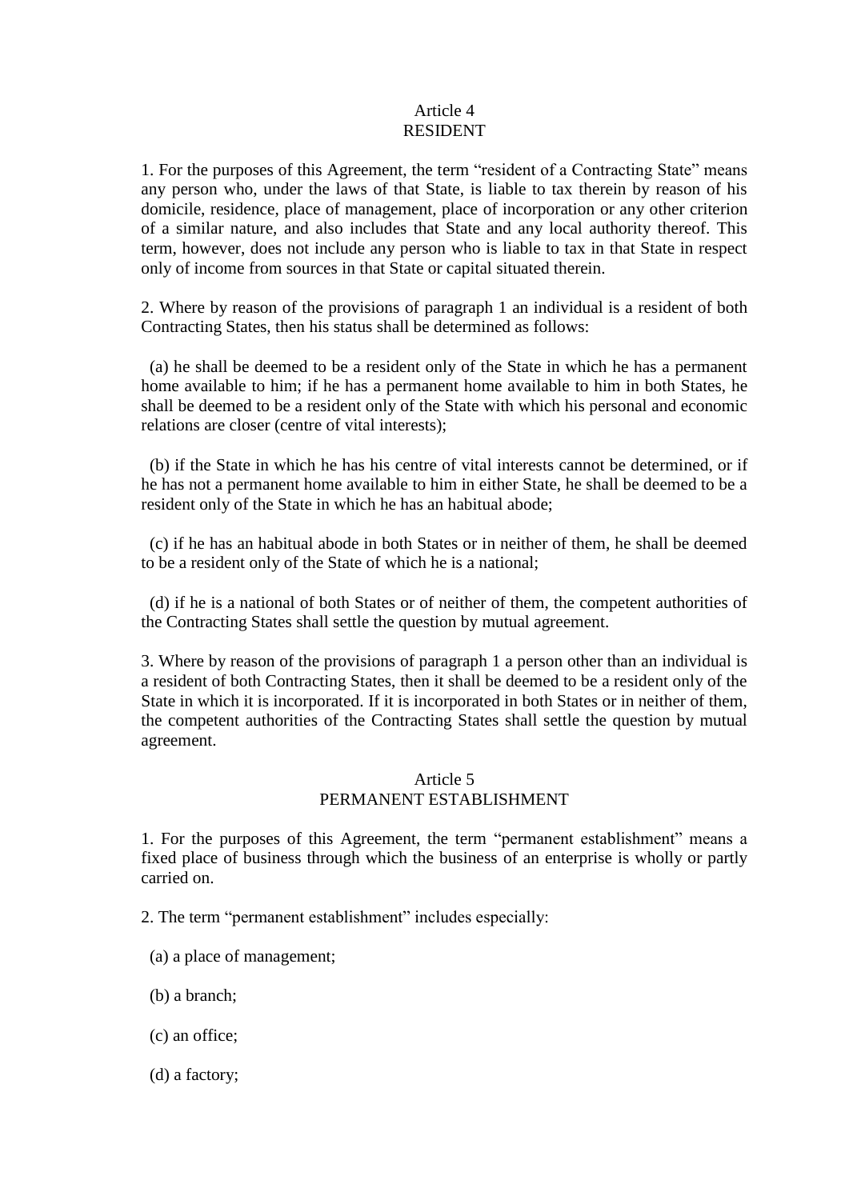#### Article 4 RESIDENT

1. For the purposes of this Agreement, the term "resident of a Contracting State" means any person who, under the laws of that State, is liable to tax therein by reason of his domicile, residence, place of management, place of incorporation or any other criterion of a similar nature, and also includes that State and any local authority thereof. This term, however, does not include any person who is liable to tax in that State in respect only of income from sources in that State or capital situated therein.

2. Where by reason of the provisions of paragraph 1 an individual is a resident of both Contracting States, then his status shall be determined as follows:

 (a) he shall be deemed to be a resident only of the State in which he has a permanent home available to him; if he has a permanent home available to him in both States, he shall be deemed to be a resident only of the State with which his personal and economic relations are closer (centre of vital interests);

 (b) if the State in which he has his centre of vital interests cannot be determined, or if he has not a permanent home available to him in either State, he shall be deemed to be a resident only of the State in which he has an habitual abode;

 (c) if he has an habitual abode in both States or in neither of them, he shall be deemed to be a resident only of the State of which he is a national;

 (d) if he is a national of both States or of neither of them, the competent authorities of the Contracting States shall settle the question by mutual agreement.

3. Where by reason of the provisions of paragraph 1 a person other than an individual is a resident of both Contracting States, then it shall be deemed to be a resident only of the State in which it is incorporated. If it is incorporated in both States or in neither of them, the competent authorities of the Contracting States shall settle the question by mutual agreement.

## Article 5 PERMANENT ESTABLISHMENT

1. For the purposes of this Agreement, the term "permanent establishment" means a fixed place of business through which the business of an enterprise is wholly or partly carried on.

2. The term "permanent establishment" includes especially:

- (a) a place of management;
- (b) a branch;
- (c) an office;
- (d) a factory;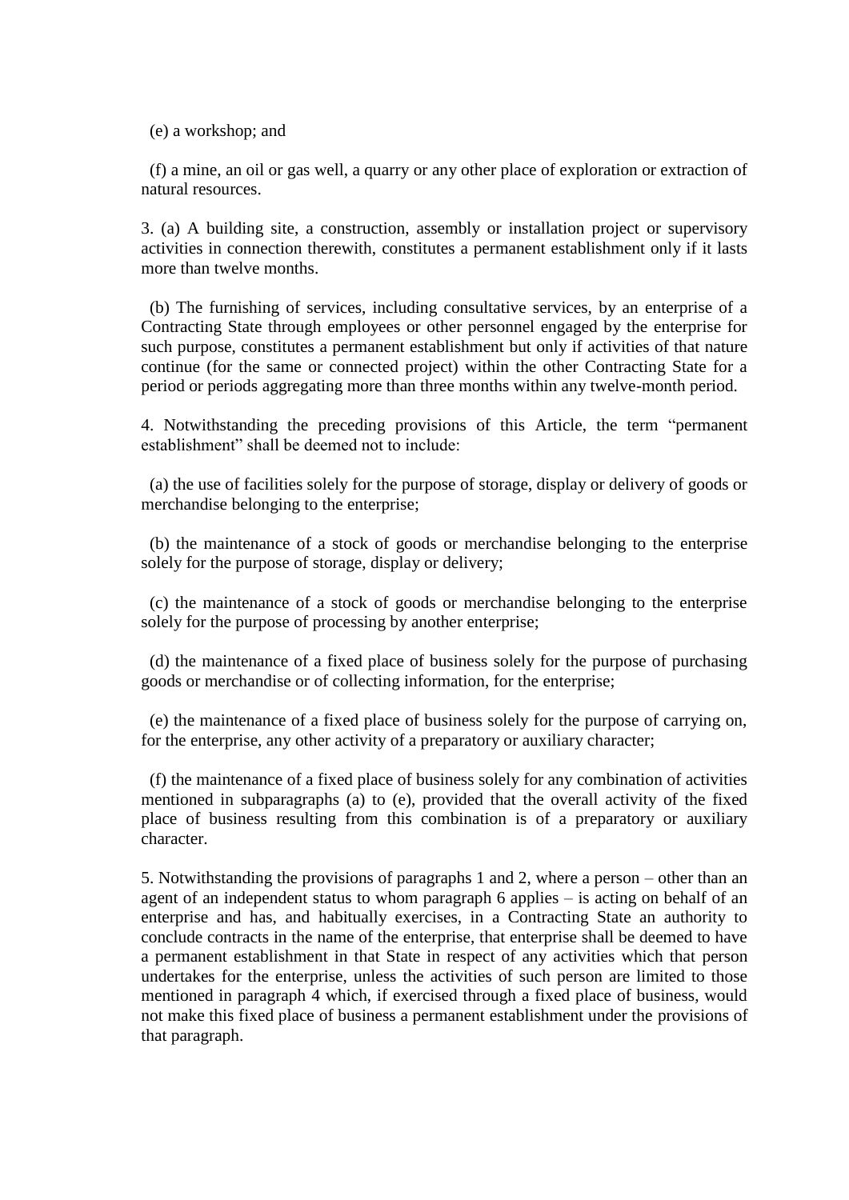(e) a workshop; and

 (f) a mine, an oil or gas well, a quarry or any other place of exploration or extraction of natural resources.

3. (a) A building site, a construction, assembly or installation project or supervisory activities in connection therewith, constitutes a permanent establishment only if it lasts more than twelve months.

 (b) The furnishing of services, including consultative services, by an enterprise of a Contracting State through employees or other personnel engaged by the enterprise for such purpose, constitutes a permanent establishment but only if activities of that nature continue (for the same or connected project) within the other Contracting State for a period or periods aggregating more than three months within any twelve-month period.

4. Notwithstanding the preceding provisions of this Article, the term "permanent establishment" shall be deemed not to include:

 (a) the use of facilities solely for the purpose of storage, display or delivery of goods or merchandise belonging to the enterprise;

 (b) the maintenance of a stock of goods or merchandise belonging to the enterprise solely for the purpose of storage, display or delivery;

 (c) the maintenance of a stock of goods or merchandise belonging to the enterprise solely for the purpose of processing by another enterprise;

 (d) the maintenance of a fixed place of business solely for the purpose of purchasing goods or merchandise or of collecting information, for the enterprise;

 (e) the maintenance of a fixed place of business solely for the purpose of carrying on, for the enterprise, any other activity of a preparatory or auxiliary character;

 (f) the maintenance of a fixed place of business solely for any combination of activities mentioned in subparagraphs (a) to (e), provided that the overall activity of the fixed place of business resulting from this combination is of a preparatory or auxiliary character.

5. Notwithstanding the provisions of paragraphs 1 and 2, where a person – other than an agent of an independent status to whom paragraph 6 applies – is acting on behalf of an enterprise and has, and habitually exercises, in a Contracting State an authority to conclude contracts in the name of the enterprise, that enterprise shall be deemed to have a permanent establishment in that State in respect of any activities which that person undertakes for the enterprise, unless the activities of such person are limited to those mentioned in paragraph 4 which, if exercised through a fixed place of business, would not make this fixed place of business a permanent establishment under the provisions of that paragraph.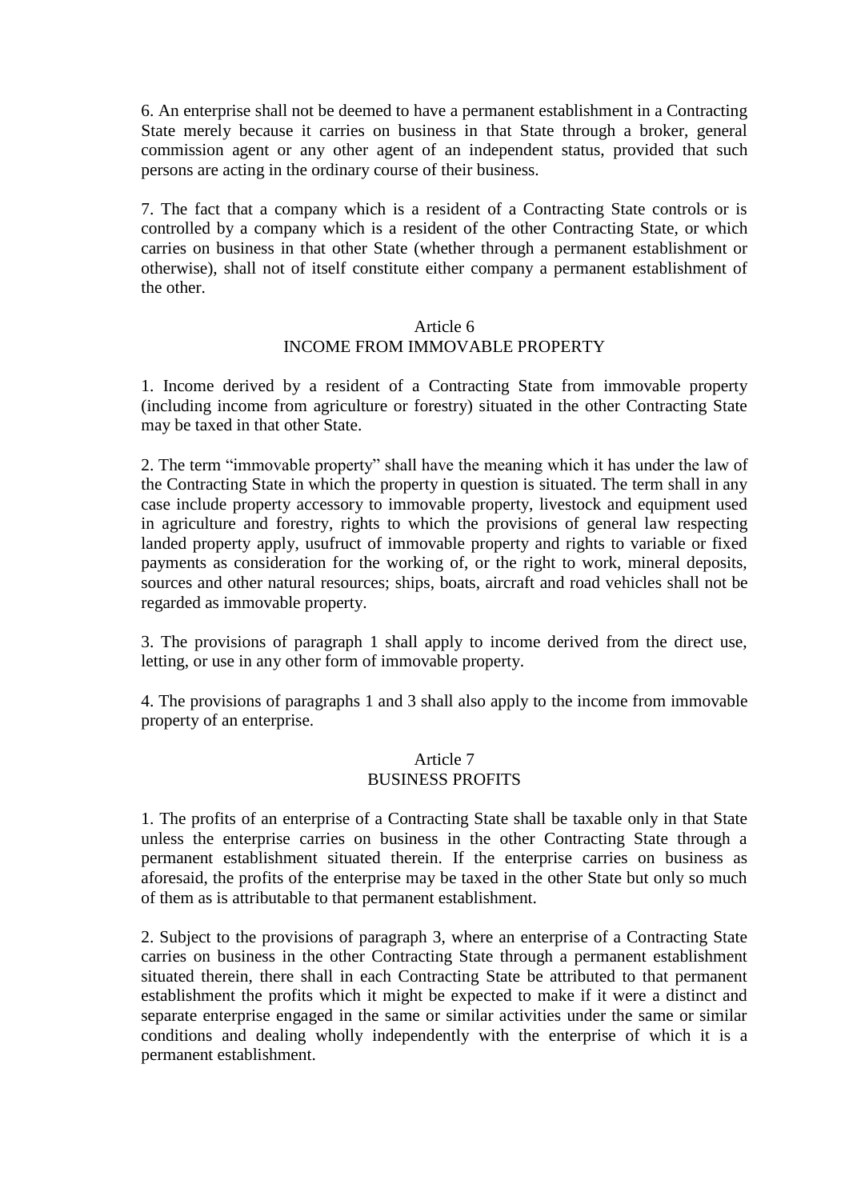6. An enterprise shall not be deemed to have a permanent establishment in a Contracting State merely because it carries on business in that State through a broker, general commission agent or any other agent of an independent status, provided that such persons are acting in the ordinary course of their business.

7. The fact that a company which is a resident of a Contracting State controls or is controlled by a company which is a resident of the other Contracting State, or which carries on business in that other State (whether through a permanent establishment or otherwise), shall not of itself constitute either company a permanent establishment of the other.

## Article 6 INCOME FROM IMMOVABLE PROPERTY

1. Income derived by a resident of a Contracting State from immovable property (including income from agriculture or forestry) situated in the other Contracting State may be taxed in that other State.

2. The term "immovable property" shall have the meaning which it has under the law of the Contracting State in which the property in question is situated. The term shall in any case include property accessory to immovable property, livestock and equipment used in agriculture and forestry, rights to which the provisions of general law respecting landed property apply, usufruct of immovable property and rights to variable or fixed payments as consideration for the working of, or the right to work, mineral deposits, sources and other natural resources; ships, boats, aircraft and road vehicles shall not be regarded as immovable property.

3. The provisions of paragraph 1 shall apply to income derived from the direct use, letting, or use in any other form of immovable property.

4. The provisions of paragraphs 1 and 3 shall also apply to the income from immovable property of an enterprise.

### Article 7 BUSINESS PROFITS

1. The profits of an enterprise of a Contracting State shall be taxable only in that State unless the enterprise carries on business in the other Contracting State through a permanent establishment situated therein. If the enterprise carries on business as aforesaid, the profits of the enterprise may be taxed in the other State but only so much of them as is attributable to that permanent establishment.

2. Subject to the provisions of paragraph 3, where an enterprise of a Contracting State carries on business in the other Contracting State through a permanent establishment situated therein, there shall in each Contracting State be attributed to that permanent establishment the profits which it might be expected to make if it were a distinct and separate enterprise engaged in the same or similar activities under the same or similar conditions and dealing wholly independently with the enterprise of which it is a permanent establishment.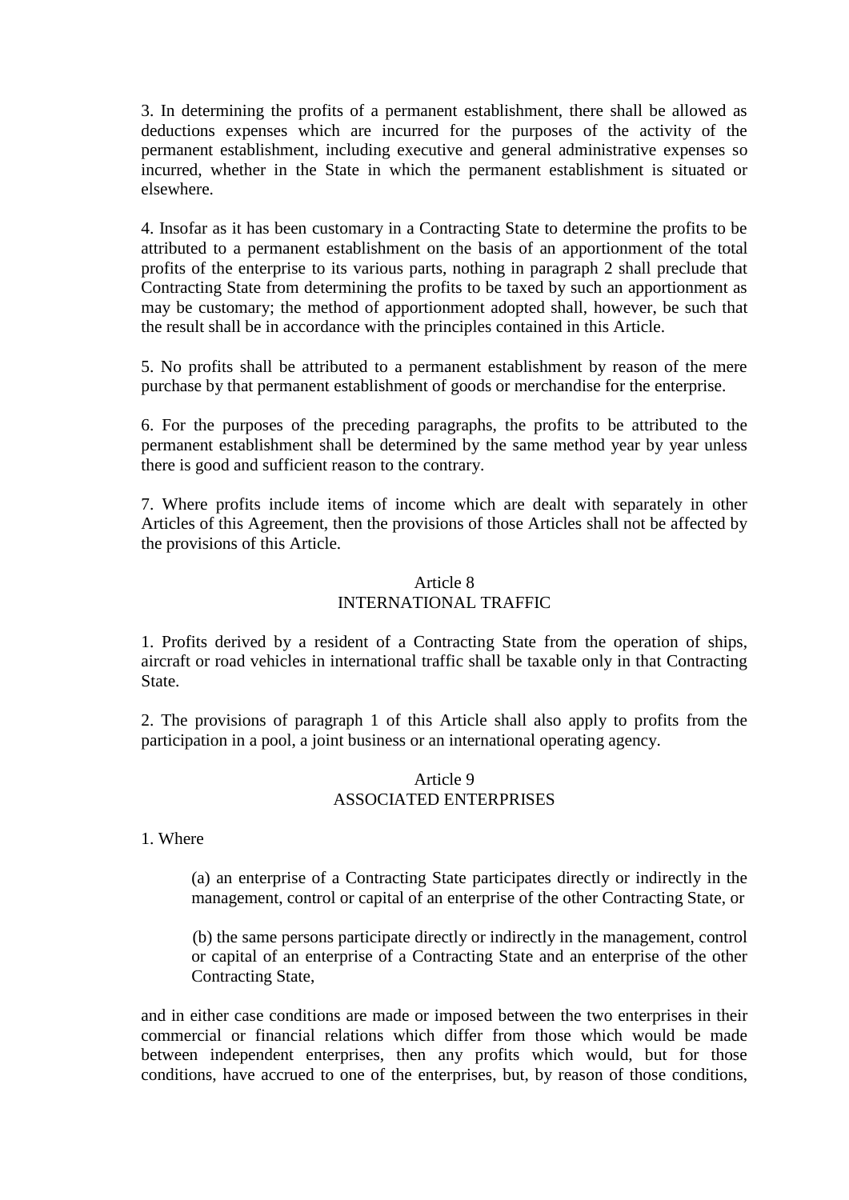3. In determining the profits of a permanent establishment, there shall be allowed as deductions expenses which are incurred for the purposes of the activity of the permanent establishment, including executive and general administrative expenses so incurred, whether in the State in which the permanent establishment is situated or elsewhere.

4. Insofar as it has been customary in a Contracting State to determine the profits to be attributed to a permanent establishment on the basis of an apportionment of the total profits of the enterprise to its various parts, nothing in paragraph 2 shall preclude that Contracting State from determining the profits to be taxed by such an apportionment as may be customary; the method of apportionment adopted shall, however, be such that the result shall be in accordance with the principles contained in this Article.

5. No profits shall be attributed to a permanent establishment by reason of the mere purchase by that permanent establishment of goods or merchandise for the enterprise.

6. For the purposes of the preceding paragraphs, the profits to be attributed to the permanent establishment shall be determined by the same method year by year unless there is good and sufficient reason to the contrary.

7. Where profits include items of income which are dealt with separately in other Articles of this Agreement, then the provisions of those Articles shall not be affected by the provisions of this Article.

## Article 8 INTERNATIONAL TRAFFIC

1. Profits derived by a resident of a Contracting State from the operation of ships, aircraft or road vehicles in international traffic shall be taxable only in that Contracting State.

2. The provisions of paragraph 1 of this Article shall also apply to profits from the participation in a pool, a joint business or an international operating agency.

#### Article 9 ASSOCIATED ENTERPRISES

1. Where

(a) an enterprise of a Contracting State participates directly or indirectly in the management, control or capital of an enterprise of the other Contracting State, or

(b) the same persons participate directly or indirectly in the management, control or capital of an enterprise of a Contracting State and an enterprise of the other Contracting State,

and in either case conditions are made or imposed between the two enterprises in their commercial or financial relations which differ from those which would be made between independent enterprises, then any profits which would, but for those conditions, have accrued to one of the enterprises, but, by reason of those conditions,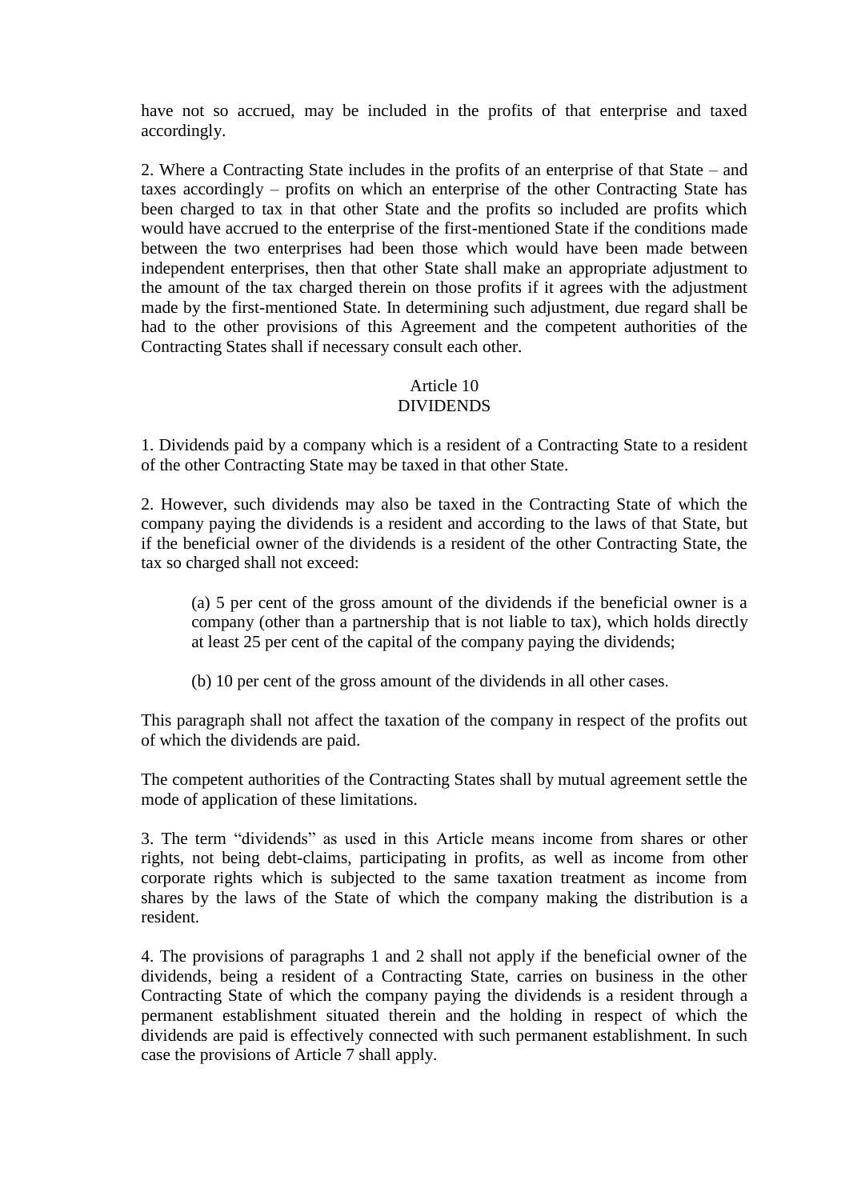have not so accrued, may be included in the profits of that enterprise and taxed accordingly.

2. Where a Contracting State includes in the profits of an enterprise of that State – and taxes accordingly – profits on which an enterprise of the other Contracting State has been charged to tax in that other State and the profits so included are profits which would have accrued to the enterprise of the first-mentioned State if the conditions made between the two enterprises had been those which would have been made between independent enterprises, then that other State shall make an appropriate adjustment to the amount of the tax charged therein on those profits if it agrees with the adjustment made by the first-mentioned State. In determining such adjustment, due regard shall be had to the other provisions of this Agreement and the competent authorities of the Contracting States shall if necessary consult each other.

# Article 10

### DIVIDENDS

1. Dividends paid by a company which is a resident of a Contracting State to a resident of the other Contracting State may be taxed in that other State.

2. However, such dividends may also be taxed in the Contracting State of which the company paying the dividends is a resident and according to the laws of that State, but if the beneficial owner of the dividends is a resident of the other Contracting State, the tax so charged shall not exceed:

(a) 5 per cent of the gross amount of the dividends if the beneficial owner is a company (other than a partnership that is not liable to tax), which holds directly at least 25 per cent of the capital of the company paying the dividends;

(b) 10 per cent of the gross amount of the dividends in all other cases.

This paragraph shall not affect the taxation of the company in respect of the profits out of which the dividends are paid.

The competent authorities of the Contracting States shall by mutual agreement settle the mode of application of these limitations.

3. The term "dividends" as used in this Article means income from shares or other rights, not being debt-claims, participating in profits, as well as income from other corporate rights which is subjected to the same taxation treatment as income from shares by the laws of the State of which the company making the distribution is a resident.

4. The provisions of paragraphs 1 and 2 shall not apply if the beneficial owner of the dividends, being a resident of a Contracting State, carries on business in the other Contracting State of which the company paying the dividends is a resident through a permanent establishment situated therein and the holding in respect of which the dividends are paid is effectively connected with such permanent establishment. In such case the provisions of Article 7 shall apply.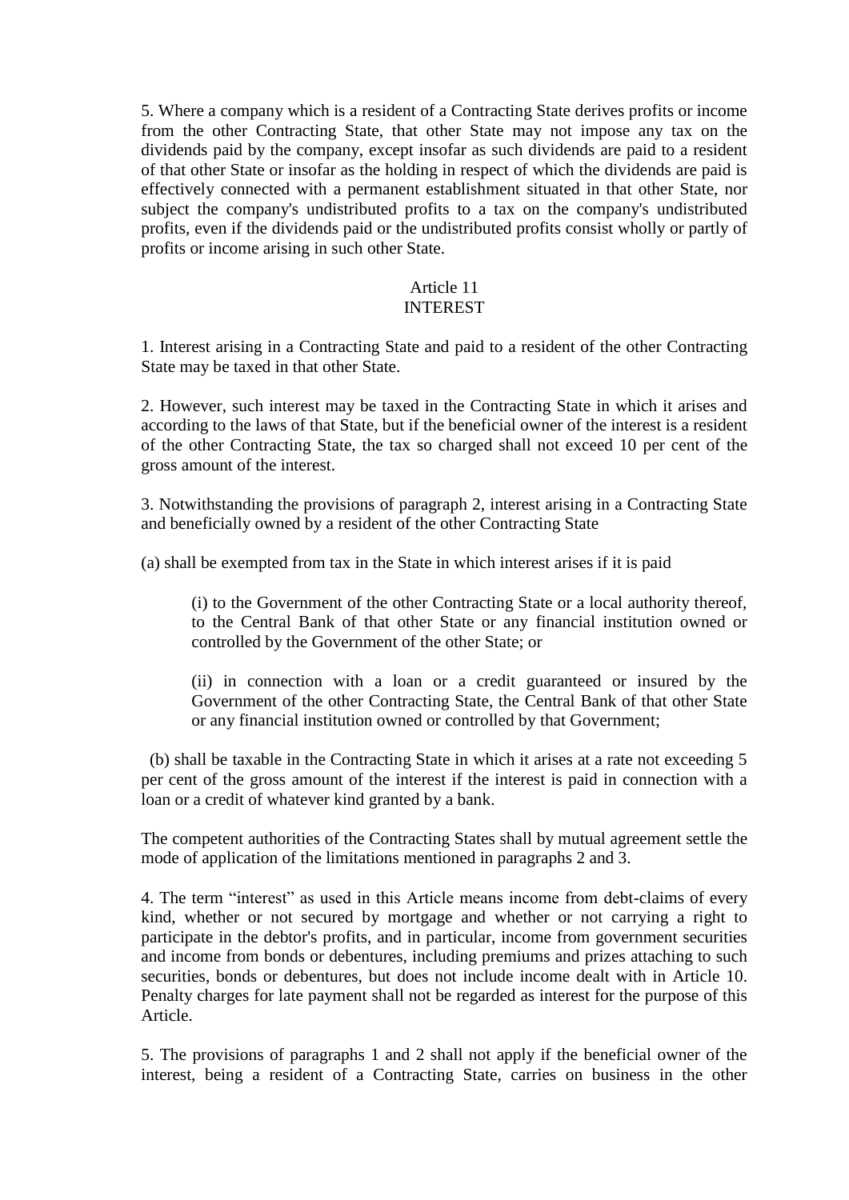5. Where a company which is a resident of a Contracting State derives profits or income from the other Contracting State, that other State may not impose any tax on the dividends paid by the company, except insofar as such dividends are paid to a resident of that other State or insofar as the holding in respect of which the dividends are paid is effectively connected with a permanent establishment situated in that other State, nor subject the company's undistributed profits to a tax on the company's undistributed profits, even if the dividends paid or the undistributed profits consist wholly or partly of profits or income arising in such other State.

## Article 11

## INTEREST

1. Interest arising in a Contracting State and paid to a resident of the other Contracting State may be taxed in that other State.

2. However, such interest may be taxed in the Contracting State in which it arises and according to the laws of that State, but if the beneficial owner of the interest is a resident of the other Contracting State, the tax so charged shall not exceed 10 per cent of the gross amount of the interest.

3. Notwithstanding the provisions of paragraph 2, interest arising in a Contracting State and beneficially owned by a resident of the other Contracting State

(a) shall be exempted from tax in the State in which interest arises if it is paid

(i) to the Government of the other Contracting State or a local authority thereof, to the Central Bank of that other State or any financial institution owned or controlled by the Government of the other State; or

(ii) in connection with a loan or a credit guaranteed or insured by the Government of the other Contracting State, the Central Bank of that other State or any financial institution owned or controlled by that Government;

 (b) shall be taxable in the Contracting State in which it arises at a rate not exceeding 5 per cent of the gross amount of the interest if the interest is paid in connection with a loan or a credit of whatever kind granted by a bank.

The competent authorities of the Contracting States shall by mutual agreement settle the mode of application of the limitations mentioned in paragraphs 2 and 3.

4. The term "interest" as used in this Article means income from debt-claims of every kind, whether or not secured by mortgage and whether or not carrying a right to participate in the debtor's profits, and in particular, income from government securities and income from bonds or debentures, including premiums and prizes attaching to such securities, bonds or debentures, but does not include income dealt with in Article 10. Penalty charges for late payment shall not be regarded as interest for the purpose of this Article.

5. The provisions of paragraphs 1 and 2 shall not apply if the beneficial owner of the interest, being a resident of a Contracting State, carries on business in the other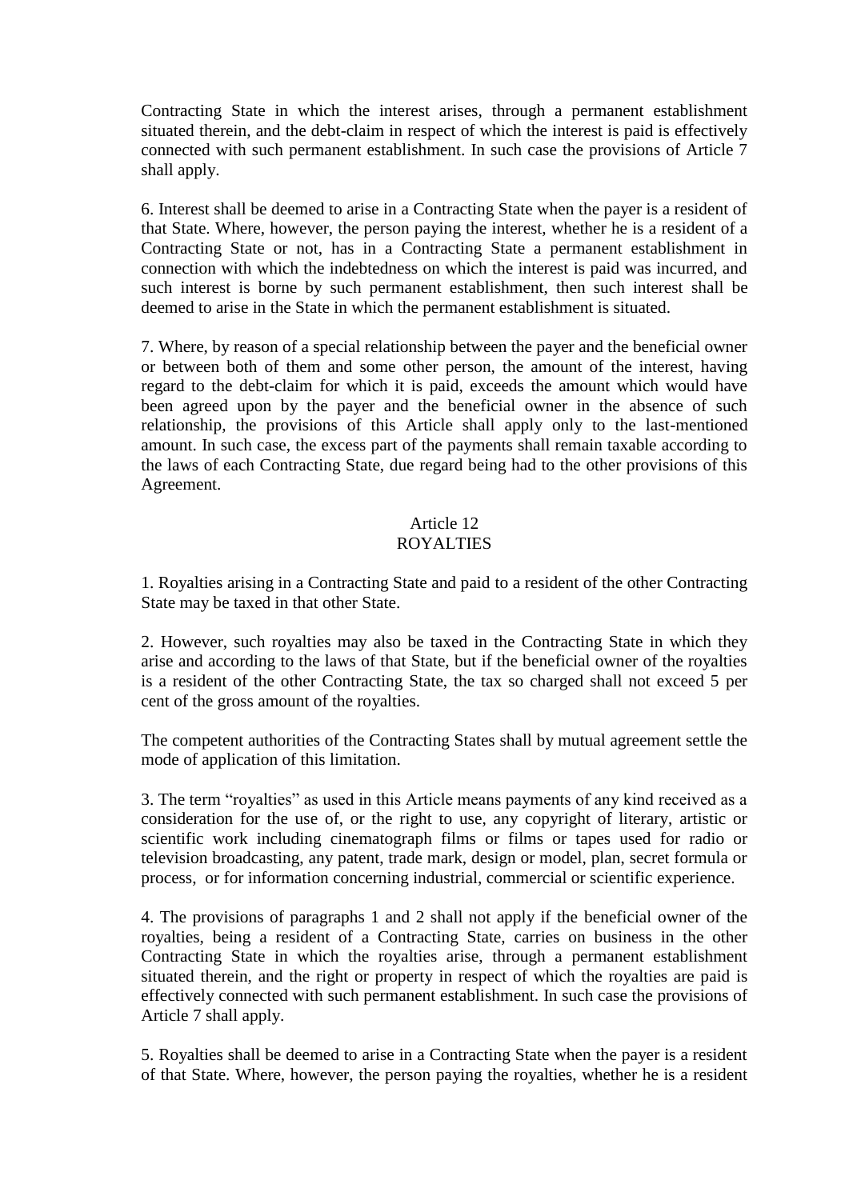Contracting State in which the interest arises, through a permanent establishment situated therein, and the debt-claim in respect of which the interest is paid is effectively connected with such permanent establishment. In such case the provisions of Article 7 shall apply.

6. Interest shall be deemed to arise in a Contracting State when the payer is a resident of that State. Where, however, the person paying the interest, whether he is a resident of a Contracting State or not, has in a Contracting State a permanent establishment in connection with which the indebtedness on which the interest is paid was incurred, and such interest is borne by such permanent establishment, then such interest shall be deemed to arise in the State in which the permanent establishment is situated.

7. Where, by reason of a special relationship between the payer and the beneficial owner or between both of them and some other person, the amount of the interest, having regard to the debt-claim for which it is paid, exceeds the amount which would have been agreed upon by the payer and the beneficial owner in the absence of such relationship, the provisions of this Article shall apply only to the last-mentioned amount. In such case, the excess part of the payments shall remain taxable according to the laws of each Contracting State, due regard being had to the other provisions of this Agreement.

#### Article 12 ROYALTIES

1. Royalties arising in a Contracting State and paid to a resident of the other Contracting State may be taxed in that other State.

2. However, such royalties may also be taxed in the Contracting State in which they arise and according to the laws of that State, but if the beneficial owner of the royalties is a resident of the other Contracting State, the tax so charged shall not exceed 5 per cent of the gross amount of the royalties.

The competent authorities of the Contracting States shall by mutual agreement settle the mode of application of this limitation.

3. The term "royalties" as used in this Article means payments of any kind received as a consideration for the use of, or the right to use, any copyright of literary, artistic or scientific work including cinematograph films or films or tapes used for radio or television broadcasting, any patent, trade mark, design or model, plan, secret formula or process, or for information concerning industrial, commercial or scientific experience.

4. The provisions of paragraphs 1 and 2 shall not apply if the beneficial owner of the royalties, being a resident of a Contracting State, carries on business in the other Contracting State in which the royalties arise, through a permanent establishment situated therein, and the right or property in respect of which the royalties are paid is effectively connected with such permanent establishment. In such case the provisions of Article 7 shall apply.

5. Royalties shall be deemed to arise in a Contracting State when the payer is a resident of that State. Where, however, the person paying the royalties, whether he is a resident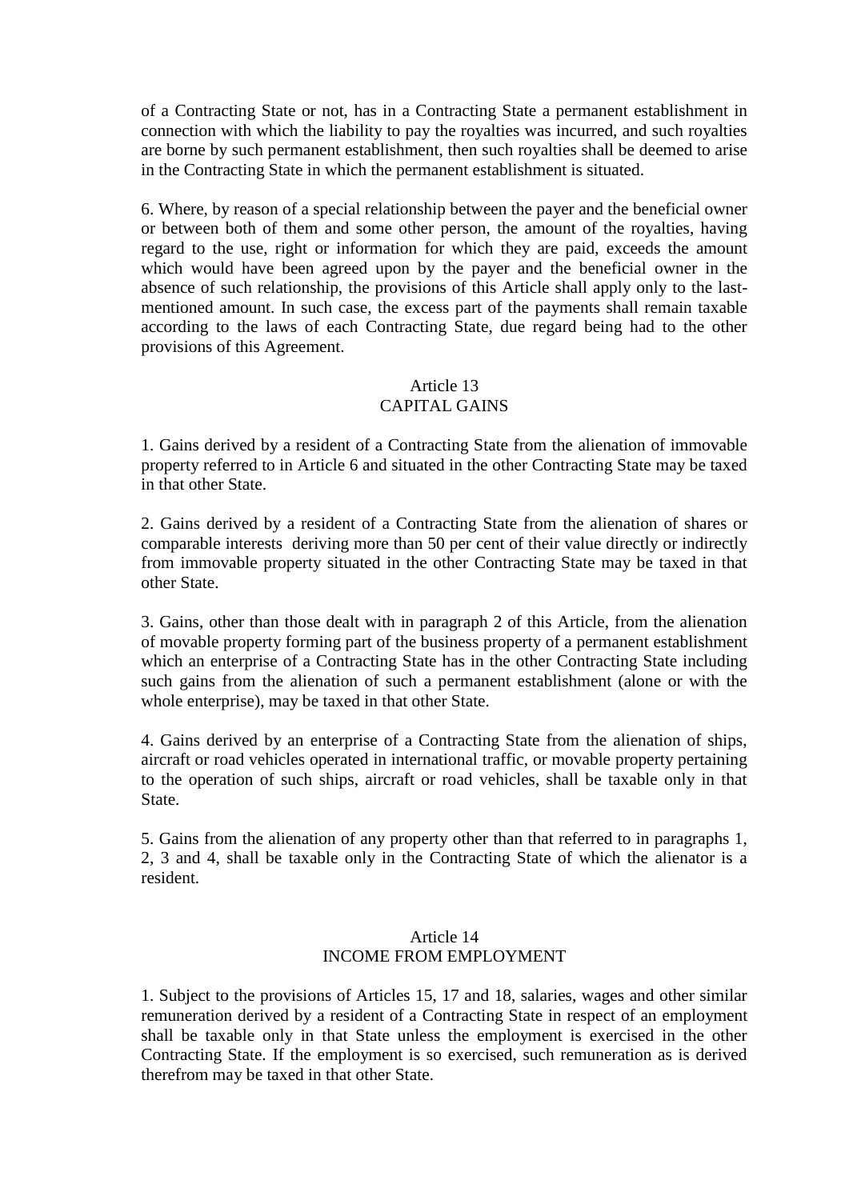of a Contracting State or not, has in a Contracting State a permanent establishment in connection with which the liability to pay the royalties was incurred, and such royalties are borne by such permanent establishment, then such royalties shall be deemed to arise in the Contracting State in which the permanent establishment is situated.

6. Where, by reason of a special relationship between the payer and the beneficial owner or between both of them and some other person, the amount of the royalties, having regard to the use, right or information for which they are paid, exceeds the amount which would have been agreed upon by the payer and the beneficial owner in the absence of such relationship, the provisions of this Article shall apply only to the lastmentioned amount. In such case, the excess part of the payments shall remain taxable according to the laws of each Contracting State, due regard being had to the other provisions of this Agreement.

#### Article 13 CAPITAL GAINS

1. Gains derived by a resident of a Contracting State from the alienation of immovable property referred to in Article 6 and situated in the other Contracting State may be taxed in that other State.

2. Gains derived by a resident of a Contracting State from the alienation of shares or comparable interests deriving more than 50 per cent of their value directly or indirectly from immovable property situated in the other Contracting State may be taxed in that other State.

3. Gains, other than those dealt with in paragraph 2 of this Article, from the alienation of movable property forming part of the business property of a permanent establishment which an enterprise of a Contracting State has in the other Contracting State including such gains from the alienation of such a permanent establishment (alone or with the whole enterprise), may be taxed in that other State.

4. Gains derived by an enterprise of a Contracting State from the alienation of ships, aircraft or road vehicles operated in international traffic, or movable property pertaining to the operation of such ships, aircraft or road vehicles, shall be taxable only in that State.

5. Gains from the alienation of any property other than that referred to in paragraphs 1, 2, 3 and 4, shall be taxable only in the Contracting State of which the alienator is a resident.

## Article 14 INCOME FROM EMPLOYMENT

1. Subject to the provisions of Articles 15, 17 and 18, salaries, wages and other similar remuneration derived by a resident of a Contracting State in respect of an employment shall be taxable only in that State unless the employment is exercised in the other Contracting State. If the employment is so exercised, such remuneration as is derived therefrom may be taxed in that other State.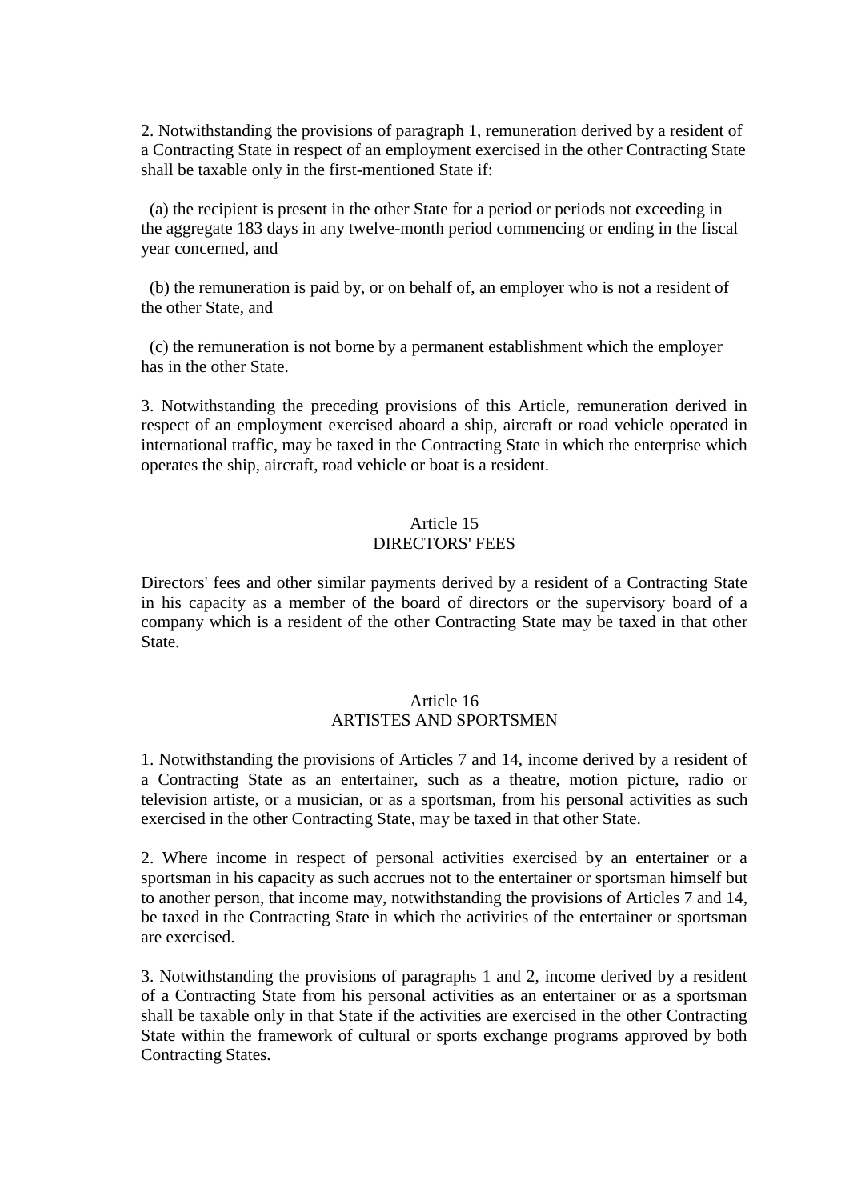2. Notwithstanding the provisions of paragraph 1, remuneration derived by a resident of a Contracting State in respect of an employment exercised in the other Contracting State shall be taxable only in the first-mentioned State if:

 (a) the recipient is present in the other State for a period or periods not exceeding in the aggregate 183 days in any twelve-month period commencing or ending in the fiscal year concerned, and

 (b) the remuneration is paid by, or on behalf of, an employer who is not a resident of the other State, and

 (c) the remuneration is not borne by a permanent establishment which the employer has in the other State.

3. Notwithstanding the preceding provisions of this Article, remuneration derived in respect of an employment exercised aboard a ship, aircraft or road vehicle operated in international traffic, may be taxed in the Contracting State in which the enterprise which operates the ship, aircraft, road vehicle or boat is a resident.

### Article 15 DIRECTORS' FEES

Directors' fees and other similar payments derived by a resident of a Contracting State in his capacity as a member of the board of directors or the supervisory board of a company which is a resident of the other Contracting State may be taxed in that other State.

## Article 16 ARTISTES AND SPORTSMEN

1. Notwithstanding the provisions of Articles 7 and 14, income derived by a resident of a Contracting State as an entertainer, such as a theatre, motion picture, radio or television artiste, or a musician, or as a sportsman, from his personal activities as such exercised in the other Contracting State, may be taxed in that other State.

2. Where income in respect of personal activities exercised by an entertainer or a sportsman in his capacity as such accrues not to the entertainer or sportsman himself but to another person, that income may, notwithstanding the provisions of Articles 7 and 14, be taxed in the Contracting State in which the activities of the entertainer or sportsman are exercised.

3. Notwithstanding the provisions of paragraphs 1 and 2, income derived by a resident of a Contracting State from his personal activities as an entertainer or as a sportsman shall be taxable only in that State if the activities are exercised in the other Contracting State within the framework of cultural or sports exchange programs approved by both Contracting States.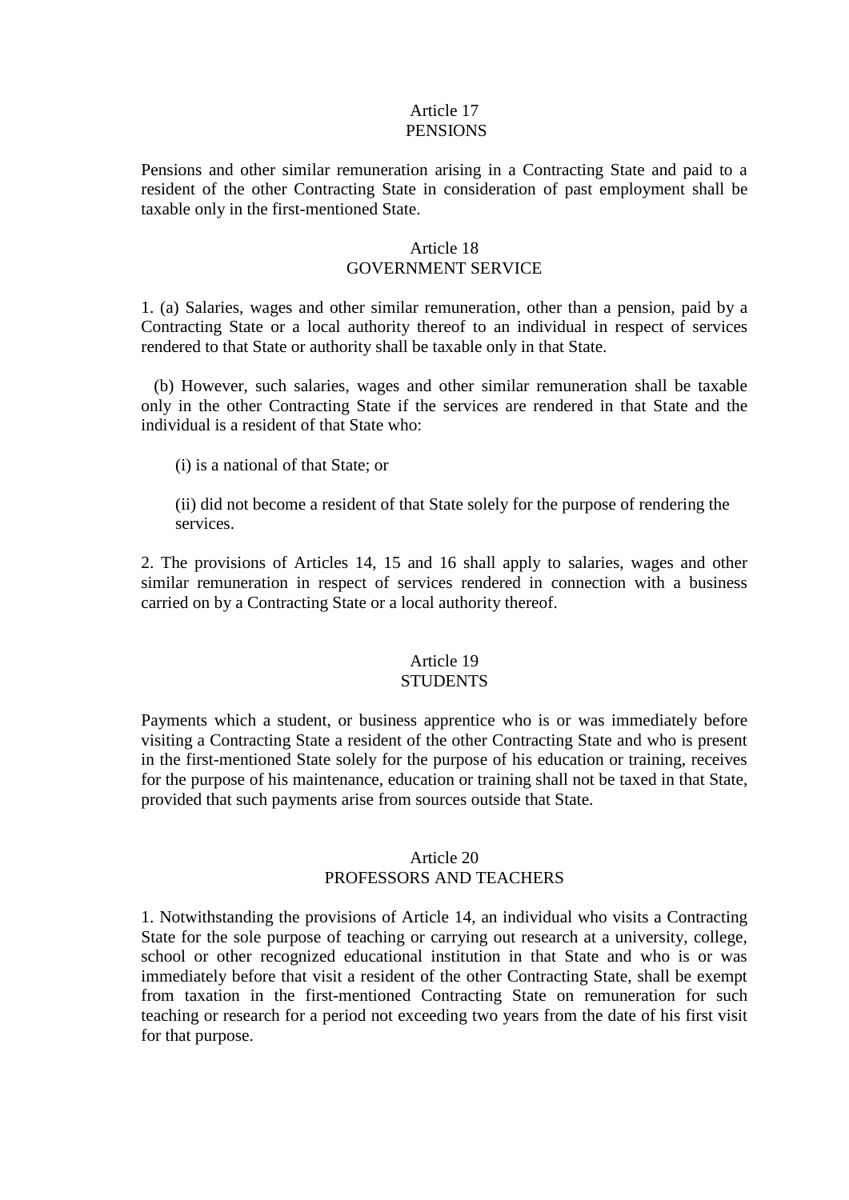#### Article 17 **PENSIONS**

Pensions and other similar remuneration arising in a Contracting State and paid to a resident of the other Contracting State in consideration of past employment shall be taxable only in the first-mentioned State.

## Article 18 GOVERNMENT SERVICE

1. (a) Salaries, wages and other similar remuneration, other than a pension, paid by a Contracting State or a local authority thereof to an individual in respect of services rendered to that State or authority shall be taxable only in that State.

 (b) However, such salaries, wages and other similar remuneration shall be taxable only in the other Contracting State if the services are rendered in that State and the individual is a resident of that State who:

(i) is a national of that State; or

(ii) did not become a resident of that State solely for the purpose of rendering the services.

2. The provisions of Articles 14, 15 and 16 shall apply to salaries, wages and other similar remuneration in respect of services rendered in connection with a business carried on by a Contracting State or a local authority thereof.

# Article 19

## **STUDENTS**

Payments which a student, or business apprentice who is or was immediately before visiting a Contracting State a resident of the other Contracting State and who is present in the first-mentioned State solely for the purpose of his education or training, receives for the purpose of his maintenance, education or training shall not be taxed in that State, provided that such payments arise from sources outside that State.

## Article 20 PROFESSORS AND TEACHERS

1. Notwithstanding the provisions of Article 14, an individual who visits a Contracting State for the sole purpose of teaching or carrying out research at a university, college, school or other recognized educational institution in that State and who is or was immediately before that visit a resident of the other Contracting State, shall be exempt from taxation in the first-mentioned Contracting State on remuneration for such teaching or research for a period not exceeding two years from the date of his first visit for that purpose.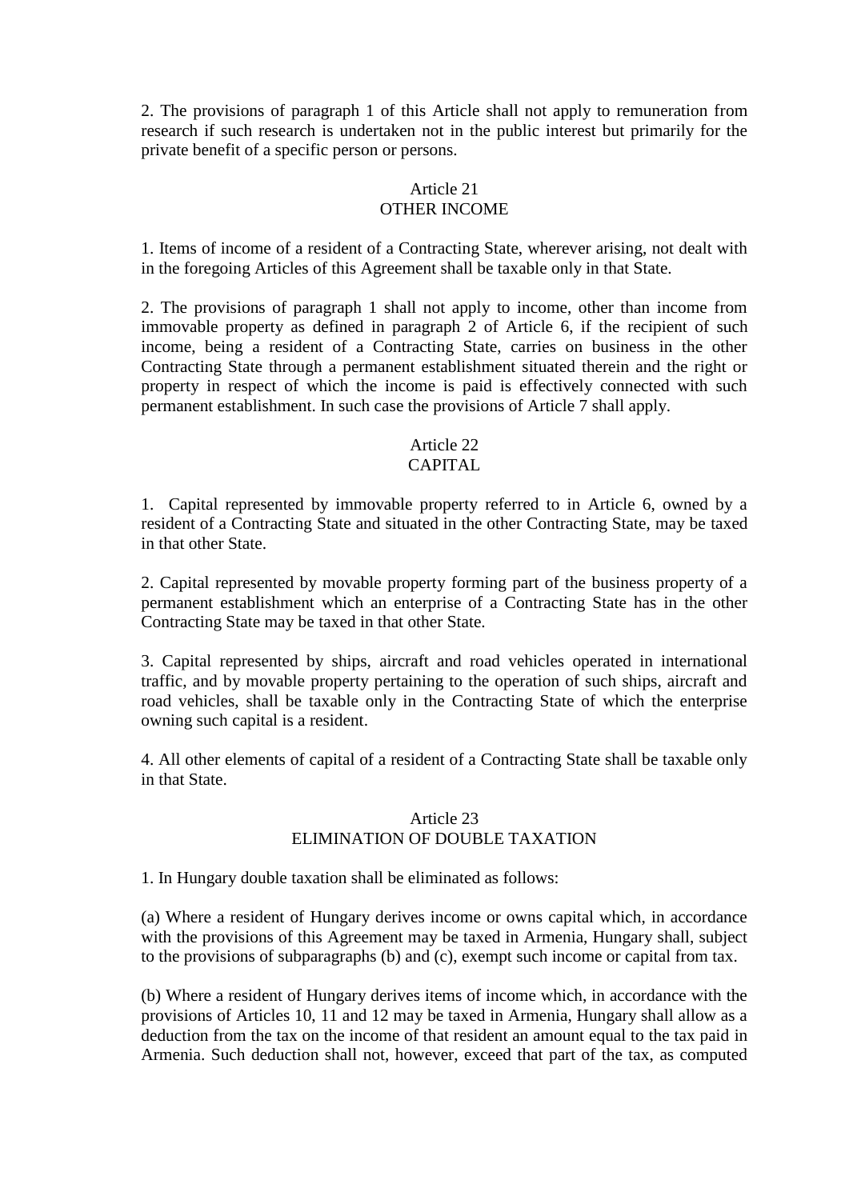2. The provisions of paragraph 1 of this Article shall not apply to remuneration from research if such research is undertaken not in the public interest but primarily for the private benefit of a specific person or persons.

#### Article 21 OTHER INCOME

1. Items of income of a resident of a Contracting State, wherever arising, not dealt with in the foregoing Articles of this Agreement shall be taxable only in that State.

2. The provisions of paragraph 1 shall not apply to income, other than income from immovable property as defined in paragraph 2 of Article 6, if the recipient of such income, being a resident of a Contracting State, carries on business in the other Contracting State through a permanent establishment situated therein and the right or property in respect of which the income is paid is effectively connected with such permanent establishment. In such case the provisions of Article 7 shall apply.

#### Article 22 CAPITAL

1. Capital represented by immovable property referred to in Article 6, owned by a resident of a Contracting State and situated in the other Contracting State, may be taxed in that other State.

2. Capital represented by movable property forming part of the business property of a permanent establishment which an enterprise of a Contracting State has in the other Contracting State may be taxed in that other State.

3. Capital represented by ships, aircraft and road vehicles operated in international traffic, and by movable property pertaining to the operation of such ships, aircraft and road vehicles, shall be taxable only in the Contracting State of which the enterprise owning such capital is a resident.

4. All other elements of capital of a resident of a Contracting State shall be taxable only in that State.

# Article 23 ELIMINATION OF DOUBLE TAXATION

1. In Hungary double taxation shall be eliminated as follows:

(a) Where a resident of Hungary derives income or owns capital which, in accordance with the provisions of this Agreement may be taxed in Armenia, Hungary shall, subject to the provisions of subparagraphs (b) and (c), exempt such income or capital from tax.

(b) Where a resident of Hungary derives items of income which, in accordance with the provisions of Articles 10, 11 and 12 may be taxed in Armenia, Hungary shall allow as a deduction from the tax on the income of that resident an amount equal to the tax paid in Armenia. Such deduction shall not, however, exceed that part of the tax, as computed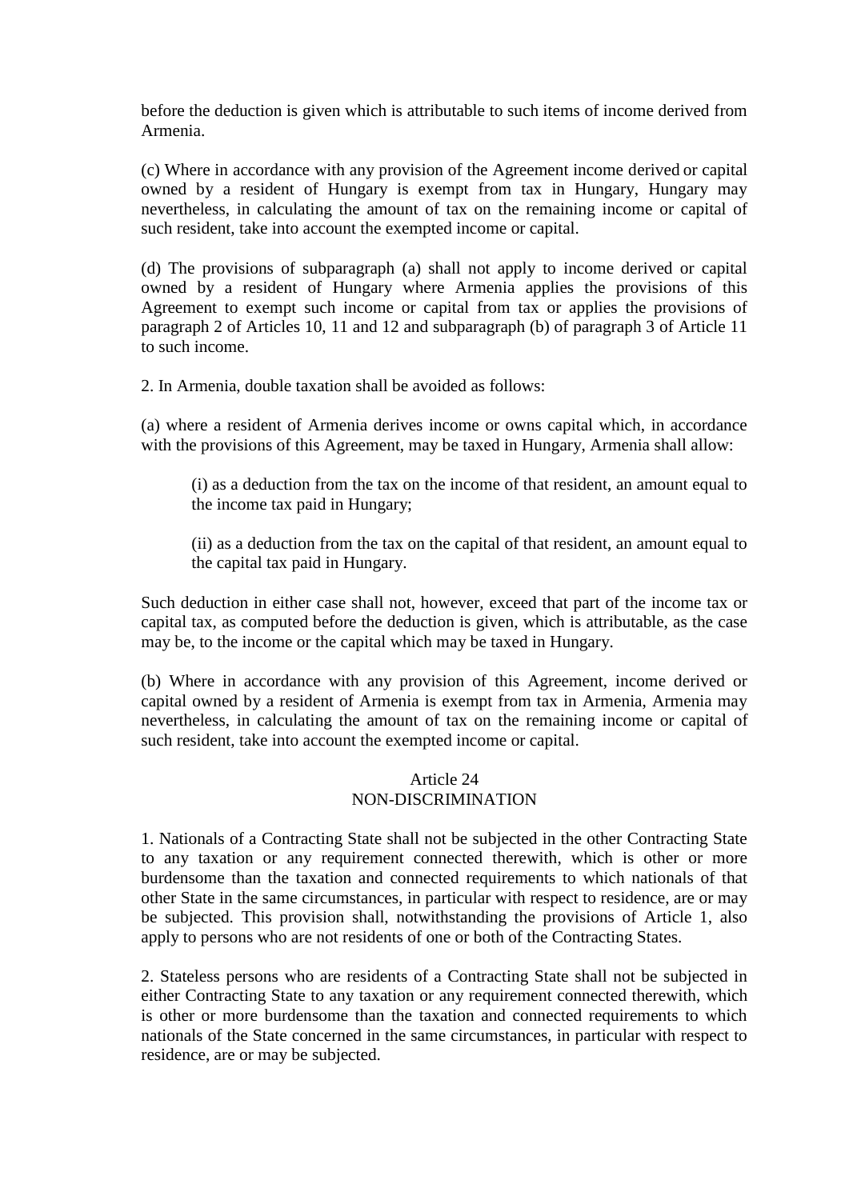before the deduction is given which is attributable to such items of income derived from Armenia.

(c) Where in accordance with any provision of the Agreement income derived or capital owned by a resident of Hungary is exempt from tax in Hungary, Hungary may nevertheless, in calculating the amount of tax on the remaining income or capital of such resident, take into account the exempted income or capital.

(d) The provisions of subparagraph (a) shall not apply to income derived or capital owned by a resident of Hungary where Armenia applies the provisions of this Agreement to exempt such income or capital from tax or applies the provisions of paragraph 2 of Articles 10, 11 and 12 and subparagraph (b) of paragraph 3 of Article 11 to such income.

2. In Armenia, double taxation shall be avoided as follows:

(a) where a resident of Armenia derives income or owns capital which, in accordance with the provisions of this Agreement, may be taxed in Hungary, Armenia shall allow:

(i) as a deduction from the tax on the income of that resident, an amount equal to the income tax paid in Hungary;

(ii) as a deduction from the tax on the capital of that resident, an amount equal to the capital tax paid in Hungary.

Such deduction in either case shall not, however, exceed that part of the income tax or capital tax, as computed before the deduction is given, which is attributable, as the case may be, to the income or the capital which may be taxed in Hungary.

(b) Where in accordance with any provision of this Agreement, income derived or capital owned by a resident of Armenia is exempt from tax in Armenia, Armenia may nevertheless, in calculating the amount of tax on the remaining income or capital of such resident, take into account the exempted income or capital.

### Article 24 NON-DISCRIMINATION

1. Nationals of a Contracting State shall not be subjected in the other Contracting State to any taxation or any requirement connected therewith, which is other or more burdensome than the taxation and connected requirements to which nationals of that other State in the same circumstances, in particular with respect to residence, are or may be subjected. This provision shall, notwithstanding the provisions of Article 1, also apply to persons who are not residents of one or both of the Contracting States.

2. Stateless persons who are residents of a Contracting State shall not be subjected in either Contracting State to any taxation or any requirement connected therewith, which is other or more burdensome than the taxation and connected requirements to which nationals of the State concerned in the same circumstances, in particular with respect to residence, are or may be subjected.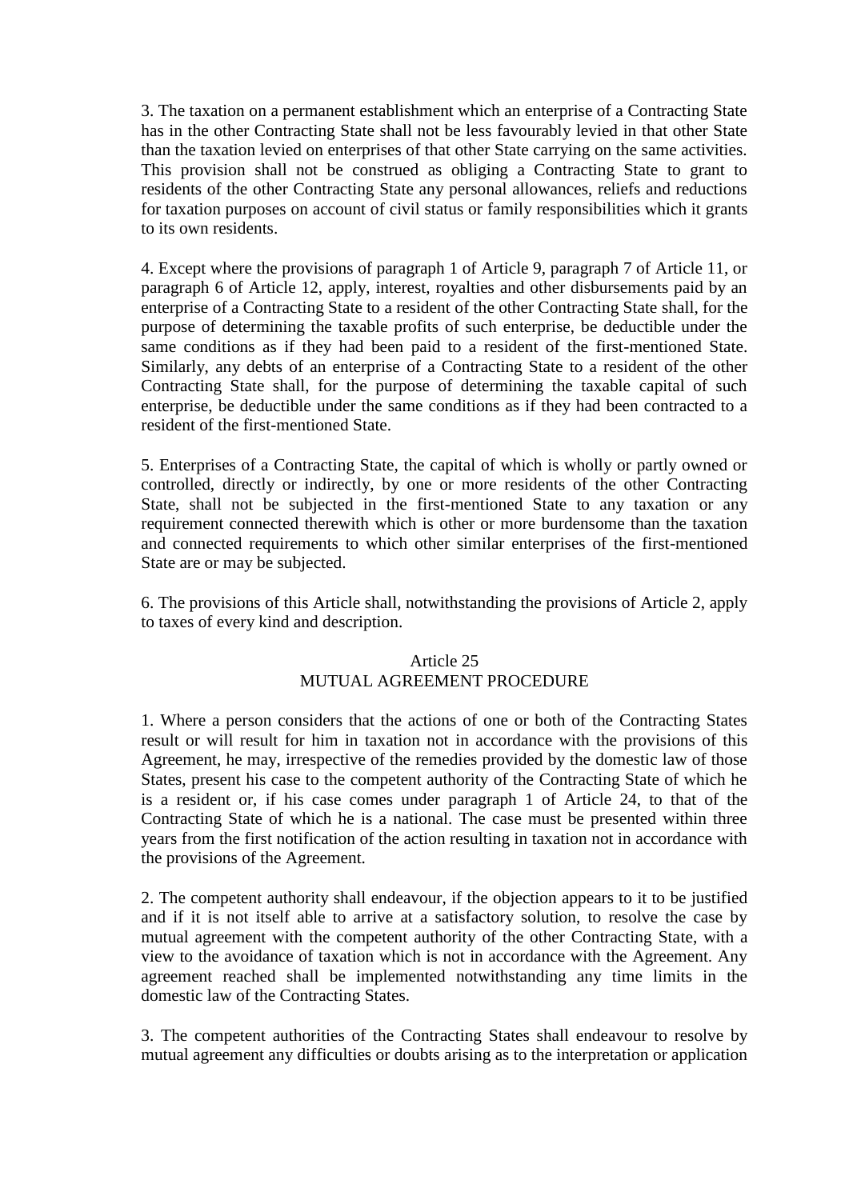3. The taxation on a permanent establishment which an enterprise of a Contracting State has in the other Contracting State shall not be less favourably levied in that other State than the taxation levied on enterprises of that other State carrying on the same activities. This provision shall not be construed as obliging a Contracting State to grant to residents of the other Contracting State any personal allowances, reliefs and reductions for taxation purposes on account of civil status or family responsibilities which it grants to its own residents.

4. Except where the provisions of paragraph 1 of Article 9, paragraph 7 of Article 11, or paragraph 6 of Article 12, apply, interest, royalties and other disbursements paid by an enterprise of a Contracting State to a resident of the other Contracting State shall, for the purpose of determining the taxable profits of such enterprise, be deductible under the same conditions as if they had been paid to a resident of the first-mentioned State. Similarly, any debts of an enterprise of a Contracting State to a resident of the other Contracting State shall, for the purpose of determining the taxable capital of such enterprise, be deductible under the same conditions as if they had been contracted to a resident of the first-mentioned State.

5. Enterprises of a Contracting State, the capital of which is wholly or partly owned or controlled, directly or indirectly, by one or more residents of the other Contracting State, shall not be subjected in the first-mentioned State to any taxation or any requirement connected therewith which is other or more burdensome than the taxation and connected requirements to which other similar enterprises of the first-mentioned State are or may be subjected.

6. The provisions of this Article shall, notwithstanding the provisions of Article 2, apply to taxes of every kind and description.

#### Article 25 MUTUAL AGREEMENT PROCEDURE

1. Where a person considers that the actions of one or both of the Contracting States result or will result for him in taxation not in accordance with the provisions of this Agreement, he may, irrespective of the remedies provided by the domestic law of those States, present his case to the competent authority of the Contracting State of which he is a resident or, if his case comes under paragraph 1 of Article 24, to that of the Contracting State of which he is a national. The case must be presented within three years from the first notification of the action resulting in taxation not in accordance with the provisions of the Agreement.

2. The competent authority shall endeavour, if the objection appears to it to be justified and if it is not itself able to arrive at a satisfactory solution, to resolve the case by mutual agreement with the competent authority of the other Contracting State, with a view to the avoidance of taxation which is not in accordance with the Agreement. Any agreement reached shall be implemented notwithstanding any time limits in the domestic law of the Contracting States.

3. The competent authorities of the Contracting States shall endeavour to resolve by mutual agreement any difficulties or doubts arising as to the interpretation or application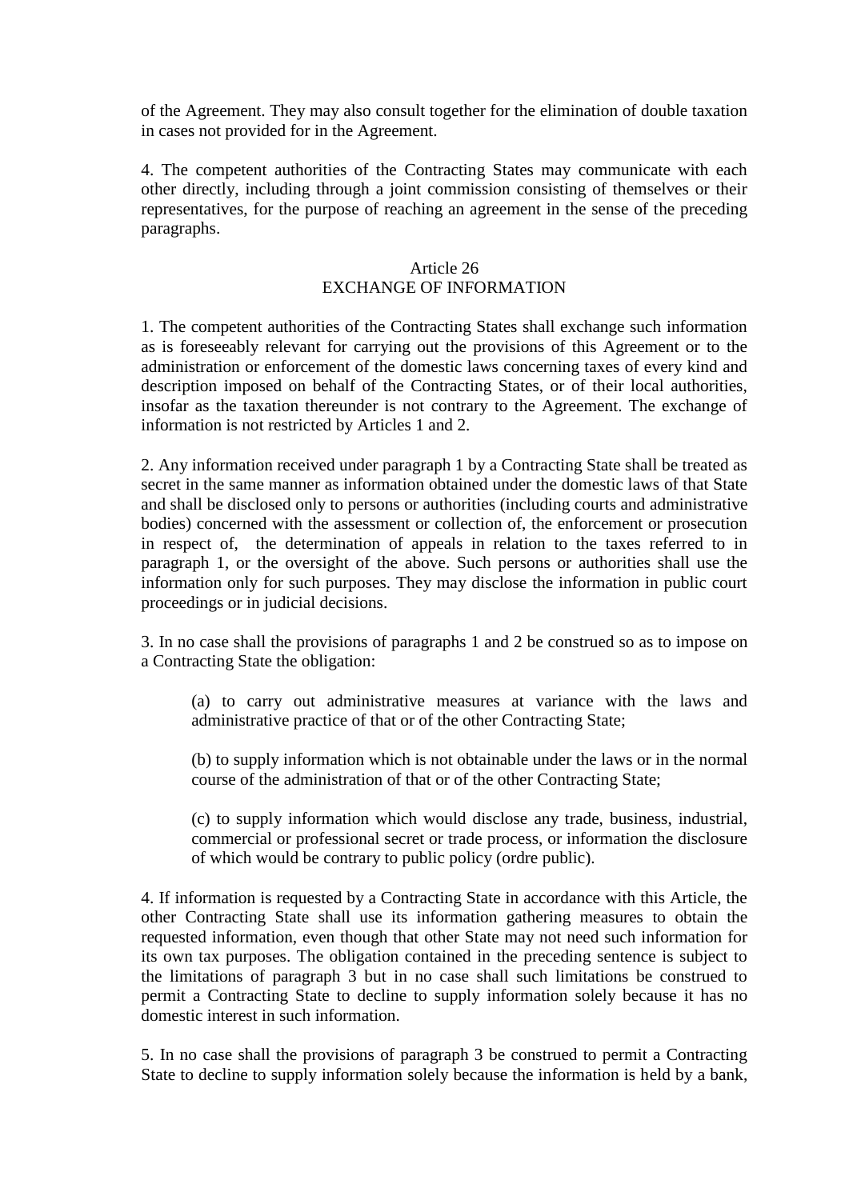of the Agreement. They may also consult together for the elimination of double taxation in cases not provided for in the Agreement.

4. The competent authorities of the Contracting States may communicate with each other directly, including through a joint commission consisting of themselves or their representatives, for the purpose of reaching an agreement in the sense of the preceding paragraphs.

## Article 26

## EXCHANGE OF INFORMATION

1. The competent authorities of the Contracting States shall exchange such information as is foreseeably relevant for carrying out the provisions of this Agreement or to the administration or enforcement of the domestic laws concerning taxes of every kind and description imposed on behalf of the Contracting States, or of their local authorities, insofar as the taxation thereunder is not contrary to the Agreement. The exchange of information is not restricted by Articles 1 and 2.

2. Any information received under paragraph 1 by a Contracting State shall be treated as secret in the same manner as information obtained under the domestic laws of that State and shall be disclosed only to persons or authorities (including courts and administrative bodies) concerned with the assessment or collection of, the enforcement or prosecution in respect of, the determination of appeals in relation to the taxes referred to in paragraph 1, or the oversight of the above. Such persons or authorities shall use the information only for such purposes. They may disclose the information in public court proceedings or in judicial decisions.

3. In no case shall the provisions of paragraphs 1 and 2 be construed so as to impose on a Contracting State the obligation:

(a) to carry out administrative measures at variance with the laws and administrative practice of that or of the other Contracting State;

(b) to supply information which is not obtainable under the laws or in the normal course of the administration of that or of the other Contracting State;

(c) to supply information which would disclose any trade, business, industrial, commercial or professional secret or trade process, or information the disclosure of which would be contrary to public policy (ordre public).

4. If information is requested by a Contracting State in accordance with this Article, the other Contracting State shall use its information gathering measures to obtain the requested information, even though that other State may not need such information for its own tax purposes. The obligation contained in the preceding sentence is subject to the limitations of paragraph 3 but in no case shall such limitations be construed to permit a Contracting State to decline to supply information solely because it has no domestic interest in such information.

5. In no case shall the provisions of paragraph 3 be construed to permit a Contracting State to decline to supply information solely because the information is held by a bank,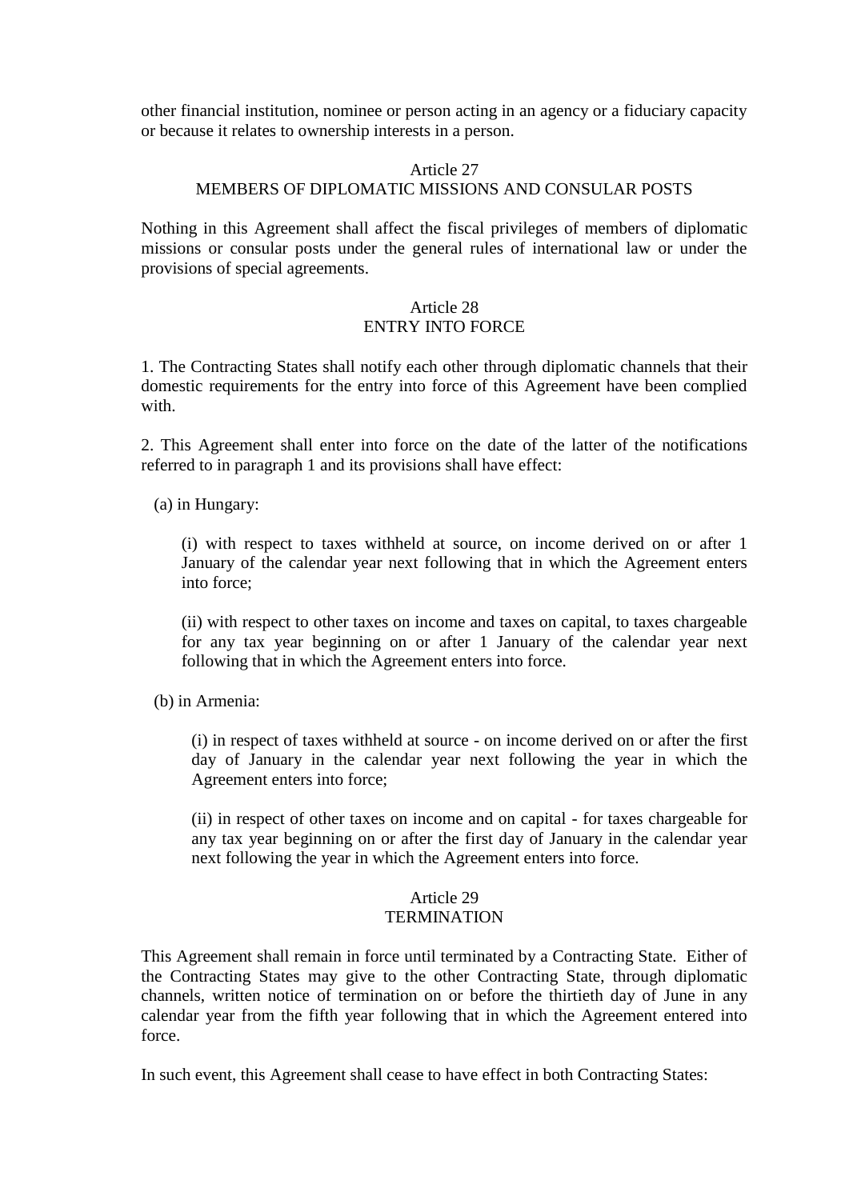other financial institution, nominee or person acting in an agency or a fiduciary capacity or because it relates to ownership interests in a person.

## Article 27 MEMBERS OF DIPLOMATIC MISSIONS AND CONSULAR POSTS

Nothing in this Agreement shall affect the fiscal privileges of members of diplomatic missions or consular posts under the general rules of international law or under the provisions of special agreements.

## Article 28 ENTRY INTO FORCE

1. The Contracting States shall notify each other through diplomatic channels that their domestic requirements for the entry into force of this Agreement have been complied with.

2. This Agreement shall enter into force on the date of the latter of the notifications referred to in paragraph 1 and its provisions shall have effect:

(a) in Hungary:

(i) with respect to taxes withheld at source, on income derived on or after 1 January of the calendar year next following that in which the Agreement enters into force;

(ii) with respect to other taxes on income and taxes on capital, to taxes chargeable for any tax year beginning on or after 1 January of the calendar year next following that in which the Agreement enters into force.

(b) in Armenia:

(i) in respect of taxes withheld at source - on income derived on or after the first day of January in the calendar year next following the year in which the Agreement enters into force;

(ii) in respect of other taxes on income and on capital - for taxes chargeable for any tax year beginning on or after the first day of January in the calendar year next following the year in which the Agreement enters into force.

#### Article 29 **TERMINATION**

This Agreement shall remain in force until terminated by a Contracting State. Either of the Contracting States may give to the other Contracting State, through diplomatic channels, written notice of termination on or before the thirtieth day of June in any calendar year from the fifth year following that in which the Agreement entered into force.

In such event, this Agreement shall cease to have effect in both Contracting States: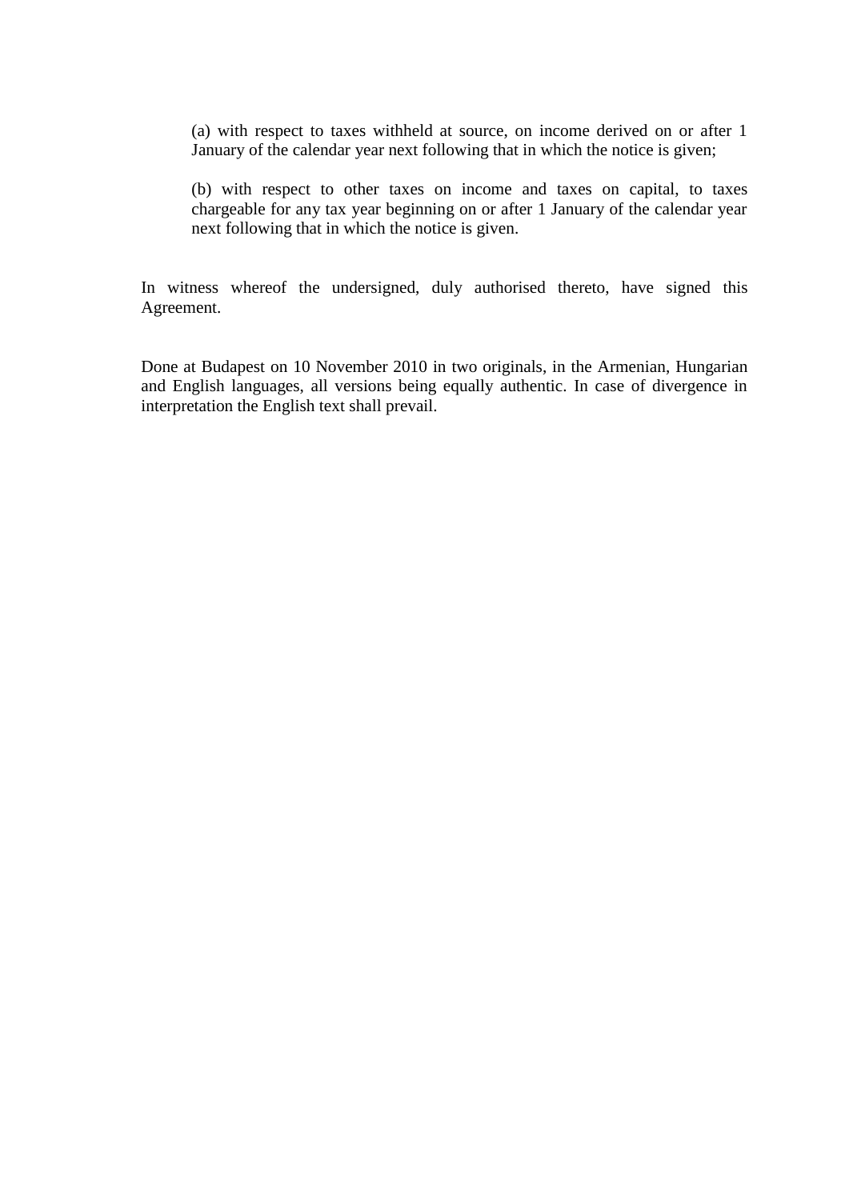(a) with respect to taxes withheld at source, on income derived on or after 1 January of the calendar year next following that in which the notice is given;

(b) with respect to other taxes on income and taxes on capital, to taxes chargeable for any tax year beginning on or after 1 January of the calendar year next following that in which the notice is given.

In witness whereof the undersigned, duly authorised thereto, have signed this Agreement.

Done at Budapest on 10 November 2010 in two originals, in the Armenian, Hungarian and English languages, all versions being equally authentic. In case of divergence in interpretation the English text shall prevail.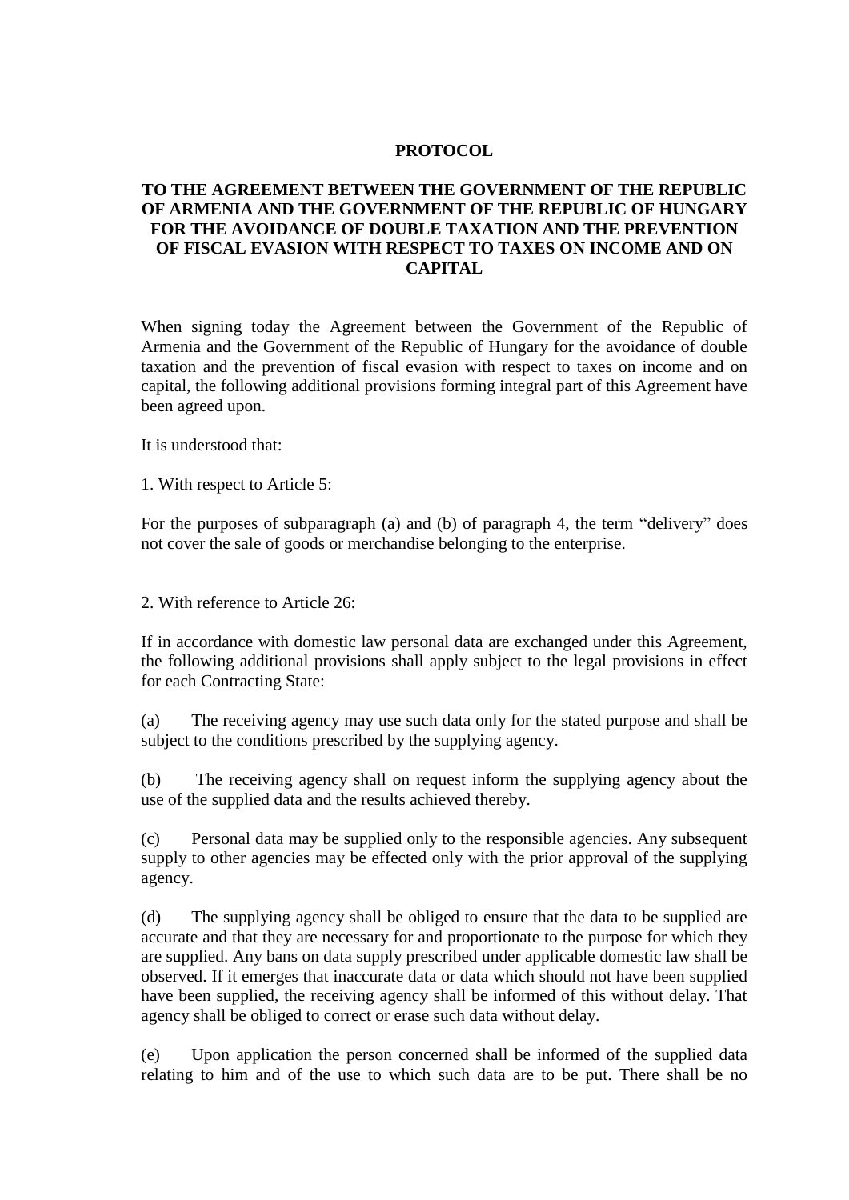#### **PROTOCOL**

## **TO THE AGREEMENT BETWEEN THE GOVERNMENT OF THE REPUBLIC OF ARMENIA AND THE GOVERNMENT OF THE REPUBLIC OF HUNGARY FOR THE AVOIDANCE OF DOUBLE TAXATION AND THE PREVENTION OF FISCAL EVASION WITH RESPECT TO TAXES ON INCOME AND ON CAPITAL**

When signing today the Agreement between the Government of the Republic of Armenia and the Government of the Republic of Hungary for the avoidance of double taxation and the prevention of fiscal evasion with respect to taxes on income and on capital, the following additional provisions forming integral part of this Agreement have been agreed upon.

It is understood that:

1. With respect to Article 5:

For the purposes of subparagraph (a) and (b) of paragraph 4, the term "delivery" does not cover the sale of goods or merchandise belonging to the enterprise.

2. With reference to Article 26:

If in accordance with domestic law personal data are exchanged under this Agreement, the following additional provisions shall apply subject to the legal provisions in effect for each Contracting State:

(a) The receiving agency may use such data only for the stated purpose and shall be subject to the conditions prescribed by the supplying agency.

(b) The receiving agency shall on request inform the supplying agency about the use of the supplied data and the results achieved thereby.

(c) Personal data may be supplied only to the responsible agencies. Any subsequent supply to other agencies may be effected only with the prior approval of the supplying agency.

(d) The supplying agency shall be obliged to ensure that the data to be supplied are accurate and that they are necessary for and proportionate to the purpose for which they are supplied. Any bans on data supply prescribed under applicable domestic law shall be observed. If it emerges that inaccurate data or data which should not have been supplied have been supplied, the receiving agency shall be informed of this without delay. That agency shall be obliged to correct or erase such data without delay.

(e) Upon application the person concerned shall be informed of the supplied data relating to him and of the use to which such data are to be put. There shall be no